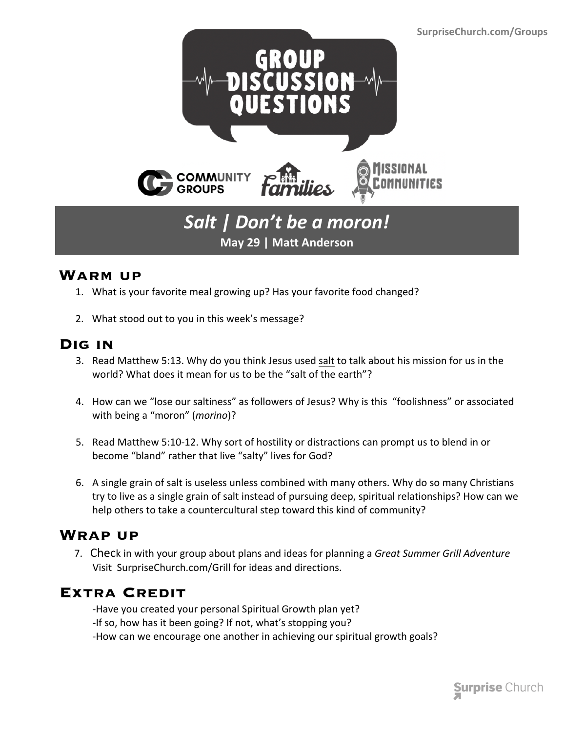

## *Salt | Don't be a moron!* **May 29 | Matt Anderson**

#### **Warm up**

- 1. What is your favorite meal growing up? Has your favorite food changed?
- 2. What stood out to you in this week's message?

#### **Dig in**

- 3. Read Matthew 5:13. Why do you think Jesus used salt to talk about his mission for us in the world? What does it mean for us to be the "salt of the earth"?
- 4. How can we "lose our saltiness" as followers of Jesus? Why is this "foolishness" or associated with being a "moron" (*morino*)?
- 5. Read Matthew 5:10-12. Why sort of hostility or distractions can prompt us to blend in or become "bland" rather that live "salty" lives for God?
- 6. A single grain of salt is useless unless combined with many others. Why do so many Christians try to live as a single grain of salt instead of pursuing deep, spiritual relationships? How can we help others to take a countercultural step toward this kind of community?

### **Wrap up**

 7. Check in with your group about plans and ideas for planning a *Great Summer Grill Adventure* Visit SurpriseChurch.com/Grill for ideas and directions.

### **Extra Credit**

-Have you created your personal Spiritual Growth plan yet? -If so, how has it been going? If not, what's stopping you? -How can we encourage one another in achieving our spiritual growth goals?